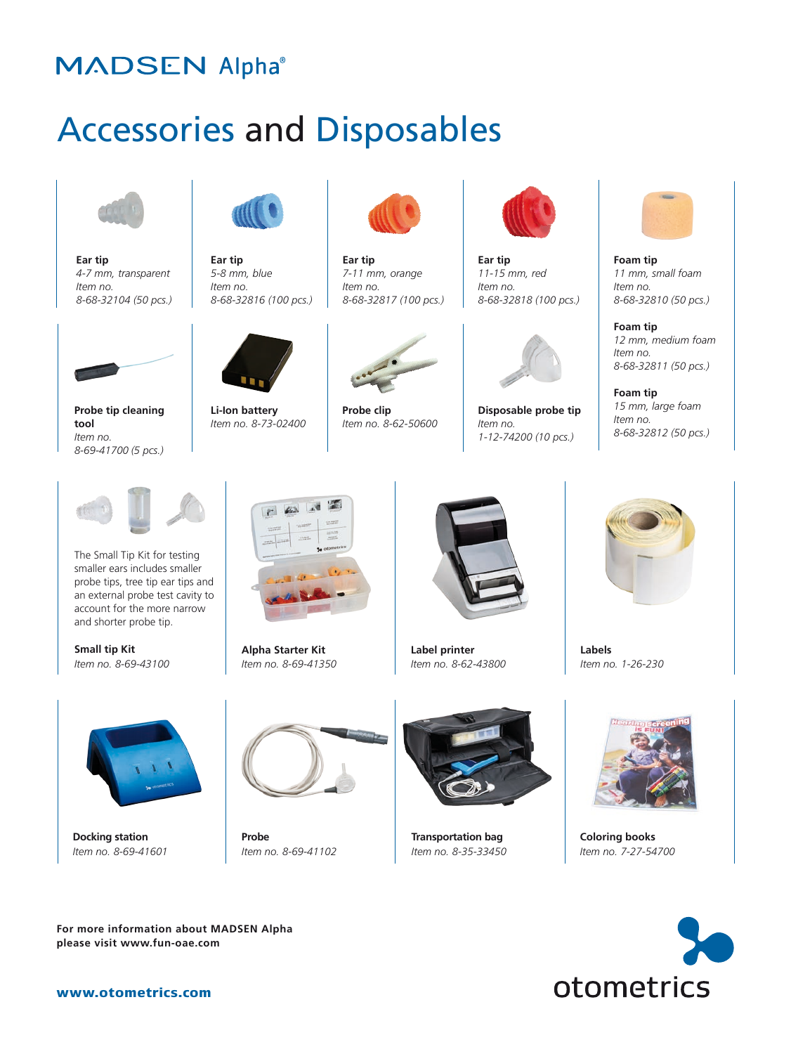## **MADSEN Alpha®**

## Accessories and Disposables



**Ear tip** *4-7 mm, transparent Item no. 8-68-32104 (50 pcs.)*

**Probe tip cleaning** 

*8-69-41700 (5 pcs.)*

**tool**  *Item no.* 



**Ear tip**  *5-8 mm, blue Item no. 8-68-32816 (100 pcs.)*



**Li-Ion battery** *Item no. 8-73-02400*



**Ear tip**  *7-11 mm, orange Item no. 8-68-32817 (100 pcs.)*



**Probe clip** *Item no. 8-62-50600*



**Ear tip**  *11-15 mm, red Item no. 8-68-32818 (100 pcs.)*



**Disposable probe tip** *Item no. 1-12-74200 (10 pcs.)*



**Foam tip**  *11 mm, small foam Item no. 8-68-32810 (50 pcs.)*

**Foam tip** *12 mm, medium foam Item no. 8-68-32811 (50 pcs.)*

**Foam tip** *15 mm, large foam Item no. 8-68-32812 (50 pcs.)*



The Small Tip Kit for testing smaller ears includes smaller probe tips, tree tip ear tips and an external probe test cavity to account for the more narrow and shorter probe tip.

**Small tip Kit** *Item no. 8-69-43100*



**Alpha Starter Kit** *Item no. 8-69-41350*



**Label printer** *Item no. 8-62-43800*



**Labels** *Item no. 1-26-230*



**Docking station** *Item no. 8-69-41601*



**Probe** *Item no. 8-69-41102*



**Transportation bag** *Item no. 8-35-33450*



**Coloring books** *Item no. 7-27-54700*



**please visit www.fun-oae.com**

**For more information about MADSEN Alpha**